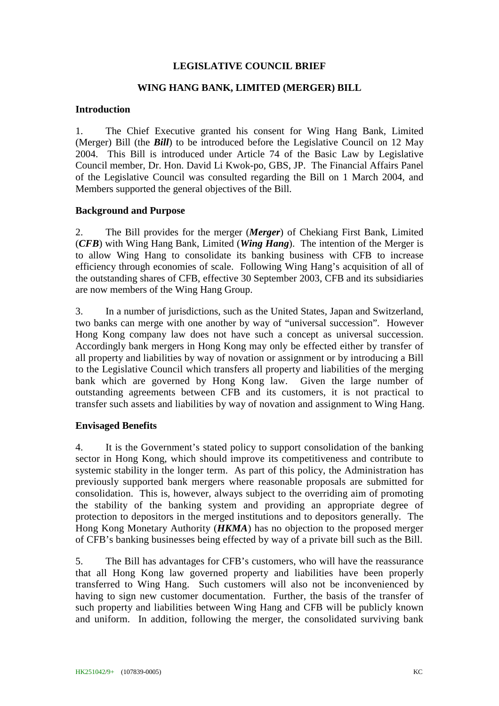### **LEGISLATIVE COUNCIL BRIEF**

### **WING HANG BANK, LIMITED (MERGER) BILL**

#### **Introduction**

1. The Chief Executive granted his consent for Wing Hang Bank, Limited (Merger) Bill (the *Bill*) to be introduced before the Legislative Council on 12 May 2004. This Bill is introduced under Article 74 of the Basic Law by Legislative Council member, Dr. Hon. David Li Kwok-po, GBS, JP. The Financial Affairs Panel of the Legislative Council was consulted regarding the Bill on 1 March 2004, and Members supported the general objectives of the Bill.

### **Background and Purpose**

2. The Bill provides for the merger (*Merger*) of Chekiang First Bank, Limited (*CFB*) with Wing Hang Bank, Limited (*Wing Hang*). The intention of the Merger is to allow Wing Hang to consolidate its banking business with CFB to increase efficiency through economies of scale.Following Wing Hang's acquisition of all of the outstanding shares of CFB, effective 30 September 2003, CFB and its subsidiaries are now members of the Wing Hang Group.

3. In a number of jurisdictions, such as the United States, Japan and Switzerland, two banks can merge with one another by way of "universal succession". However Hong Kong company law does not have such a concept as universal succession. Accordingly bank mergers in Hong Kong may only be effected either by transfer of all property and liabilities by way of novation or assignment or by introducing a Bill to the Legislative Council which transfers all property and liabilities of the merging bank which are governed by Hong Kong law. Given the large number of outstanding agreements between CFB and its customers, it is not practical to transfer such assets and liabilities by way of novation and assignment to Wing Hang.

### **Envisaged Benefits**

4. It is the Government's stated policy to support consolidation of the banking sector in Hong Kong, which should improve its competitiveness and contribute to systemic stability in the longer term. As part of this policy, the Administration has previously supported bank mergers where reasonable proposals are submitted for consolidation. This is, however, always subject to the overriding aim of promoting the stability of the banking system and providing an appropriate degree of protection to depositors in the merged institutions and to depositors generally. The Hong Kong Monetary Authority (*HKMA*) has no objection to the proposed merger of CFB's banking businesses being effected by way of a private bill such as the Bill.

5. The Bill has advantages for CFB's customers, who will have the reassurance that all Hong Kong law governed property and liabilities have been properly transferred to Wing Hang. Such customers will also not be inconvenienced by having to sign new customer documentation. Further, the basis of the transfer of such property and liabilities between Wing Hang and CFB will be publicly known and uniform. In addition, following the merger, the consolidated surviving bank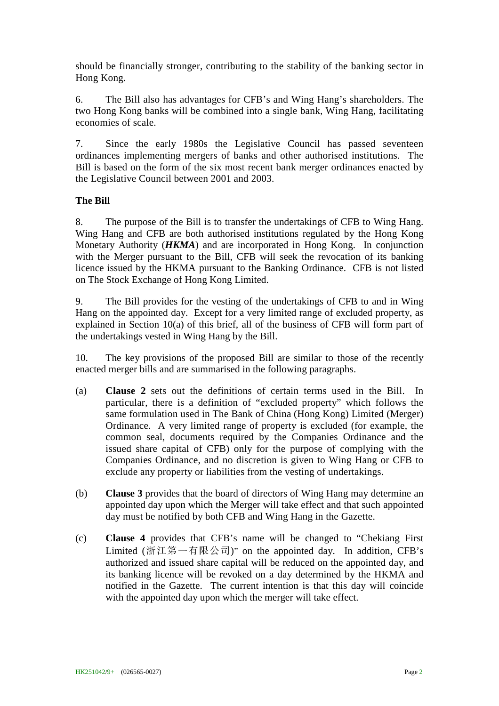should be financially stronger, contributing to the stability of the banking sector in Hong Kong.

6. The Bill also has advantages for CFB's and Wing Hang's shareholders. The two Hong Kong banks will be combined into a single bank, Wing Hang, facilitating economies of scale.

7. Since the early 1980s the Legislative Council has passed seventeen ordinances implementing mergers of banks and other authorised institutions. The Bill is based on the form of the six most recent bank merger ordinances enacted by the Legislative Council between 2001 and 2003.

# **The Bill**

8. The purpose of the Bill is to transfer the undertakings of CFB to Wing Hang. Wing Hang and CFB are both authorised institutions regulated by the Hong Kong Monetary Authority (*HKMA*) and are incorporated in Hong Kong. In conjunction with the Merger pursuant to the Bill, CFB will seek the revocation of its banking licence issued by the HKMA pursuant to the Banking Ordinance. CFB is not listed on The Stock Exchange of Hong Kong Limited.

9. The Bill provides for the vesting of the undertakings of CFB to and in Wing Hang on the appointed day. Except for a very limited range of excluded property, as explained in Section 10(a) of this brief, all of the business of CFB will form part of the undertakings vested in Wing Hang by the Bill.

10. The key provisions of the proposed Bill are similar to those of the recently enacted merger bills and are summarised in the following paragraphs.

- (a) **Clause 2** sets out the definitions of certain terms used in the Bill. In particular, there is a definition of "excluded property" which follows the same formulation used in The Bank of China (Hong Kong) Limited (Merger) Ordinance. A very limited range of property is excluded (for example, the common seal, documents required by the Companies Ordinance and the issued share capital of CFB) only for the purpose of complying with the Companies Ordinance, and no discretion is given to Wing Hang or CFB to exclude any property or liabilities from the vesting of undertakings.
- (b) **Clause 3** provides that the board of directors of Wing Hang may determine an appointed day upon which the Merger will take effect and that such appointed day must be notified by both CFB and Wing Hang in the Gazette.
- (c) **Clause 4** provides that CFB's name will be changed to "Chekiang First Limited (浙江第一有限公司)" on the appointed day. In addition, CFB's authorized and issued share capital will be reduced on the appointed day, and its banking licence will be revoked on a day determined by the HKMA and notified in the Gazette. The current intention is that this day will coincide with the appointed day upon which the merger will take effect.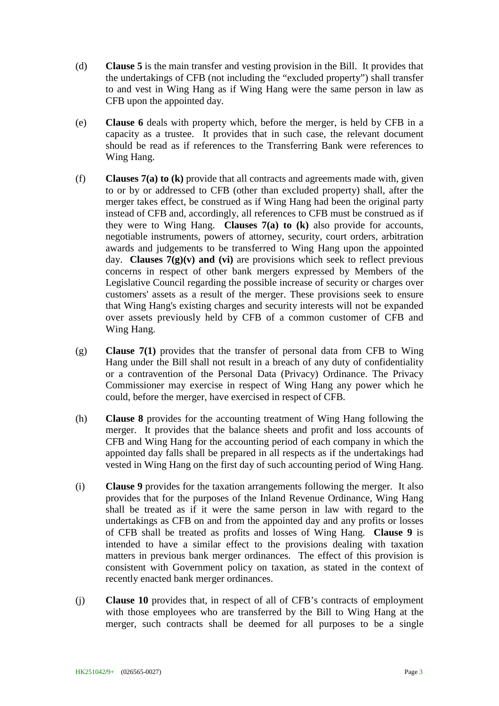- (d) **Clause 5** is the main transfer and vesting provision in the Bill. It provides that the undertakings of CFB (not including the "excluded property") shall transfer to and vest in Wing Hang as if Wing Hang were the same person in law as CFB upon the appointed day.
- (e) **Clause 6** deals with property which, before the merger, is held by CFB in a capacity as a trustee. It provides that in such case, the relevant document should be read as if references to the Transferring Bank were references to Wing Hang.
- (f) **Clauses 7(a) to (k)** provide that all contracts and agreements made with, given to or by or addressed to CFB (other than excluded property) shall, after the merger takes effect, be construed as if Wing Hang had been the original party instead of CFB and, accordingly, all references to CFB must be construed as if they were to Wing Hang. **Clauses 7(a) to (k)** also provide for accounts, negotiable instruments, powers of attorney, security, court orders, arbitration awards and judgements to be transferred to Wing Hang upon the appointed day. **Clauses**  $7(g)(v)$  **and (vi)** are provisions which seek to reflect previous concerns in respect of other bank mergers expressed by Members of the Legislative Council regarding the possible increase of security or charges over customers' assets as a result of the merger. These provisions seek to ensure that Wing Hang's existing charges and security interests will not be expanded over assets previously held by CFB of a common customer of CFB and Wing Hang.
- (g) **Clause 7(1)** provides that the transfer of personal data from CFB to Wing Hang under the Bill shall not result in a breach of any duty of confidentiality or a contravention of the Personal Data (Privacy) Ordinance. The Privacy Commissioner may exercise in respect of Wing Hang any power which he could, before the merger, have exercised in respect of CFB.
- (h) **Clause 8** provides for the accounting treatment of Wing Hang following the merger. It provides that the balance sheets and profit and loss accounts of CFB and Wing Hang for the accounting period of each company in which the appointed day falls shall be prepared in all respects as if the undertakings had vested in Wing Hang on the first day of such accounting period of Wing Hang.
- (i) **Clause 9** provides for the taxation arrangements following the merger. It also provides that for the purposes of the Inland Revenue Ordinance, Wing Hang shall be treated as if it were the same person in law with regard to the undertakings as CFB on and from the appointed day and any profits or losses of CFB shall be treated as profits and losses of Wing Hang. **Clause 9** is intended to have a similar effect to the provisions dealing with taxation matters in previous bank merger ordinances. The effect of this provision is consistent with Government policy on taxation, as stated in the context of recently enacted bank merger ordinances.
- (j) **Clause 10** provides that, in respect of all of CFB's contracts of employment with those employees who are transferred by the Bill to Wing Hang at the merger, such contracts shall be deemed for all purposes to be a single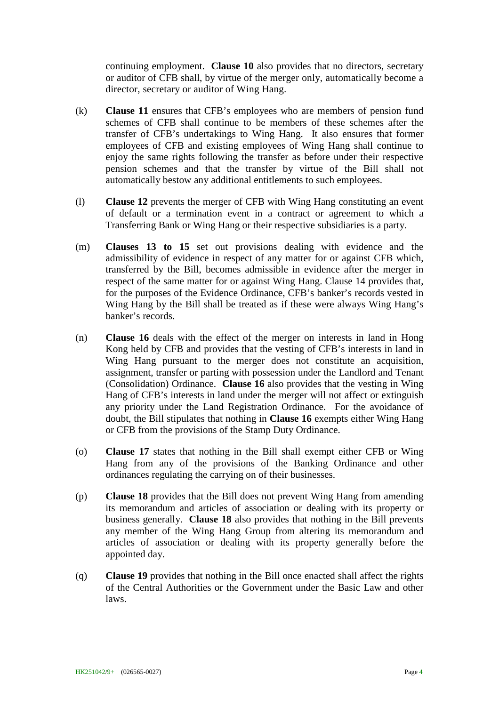continuing employment. **Clause 10** also provides that no directors, secretary or auditor of CFB shall, by virtue of the merger only, automatically become a director, secretary or auditor of Wing Hang.

- (k) **Clause 11** ensures that CFB's employees who are members of pension fund schemes of CFB shall continue to be members of these schemes after the transfer of CFB's undertakings to Wing Hang. It also ensures that former employees of CFB and existing employees of Wing Hang shall continue to enjoy the same rights following the transfer as before under their respective pension schemes and that the transfer by virtue of the Bill shall not automatically bestow any additional entitlements to such employees.
- (l) **Clause 12** prevents the merger of CFB with Wing Hang constituting an event of default or a termination event in a contract or agreement to which a Transferring Bank or Wing Hang or their respective subsidiaries is a party.
- (m) **Clauses 13 to 15** set out provisions dealing with evidence and the admissibility of evidence in respect of any matter for or against CFB which, transferred by the Bill, becomes admissible in evidence after the merger in respect of the same matter for or against Wing Hang. Clause 14 provides that, for the purposes of the Evidence Ordinance, CFB's banker's records vested in Wing Hang by the Bill shall be treated as if these were always Wing Hang's banker's records.
- (n) **Clause 16** deals with the effect of the merger on interests in land in Hong Kong held by CFB and provides that the vesting of CFB's interests in land in Wing Hang pursuant to the merger does not constitute an acquisition, assignment, transfer or parting with possession under the Landlord and Tenant (Consolidation) Ordinance. **Clause 16** also provides that the vesting in Wing Hang of CFB's interests in land under the merger will not affect or extinguish any priority under the Land Registration Ordinance. For the avoidance of doubt, the Bill stipulates that nothing in **Clause 16** exempts either Wing Hang or CFB from the provisions of the Stamp Duty Ordinance.
- (o) **Clause 17** states that nothing in the Bill shall exempt either CFB or Wing Hang from any of the provisions of the Banking Ordinance and other ordinances regulating the carrying on of their businesses.
- (p) **Clause 18** provides that the Bill does not prevent Wing Hang from amending its memorandum and articles of association or dealing with its property or business generally. **Clause 18** also provides that nothing in the Bill prevents any member of the Wing Hang Group from altering its memorandum and articles of association or dealing with its property generally before the appointed day.
- (q) **Clause 19** provides that nothing in the Bill once enacted shall affect the rights of the Central Authorities or the Government under the Basic Law and other laws.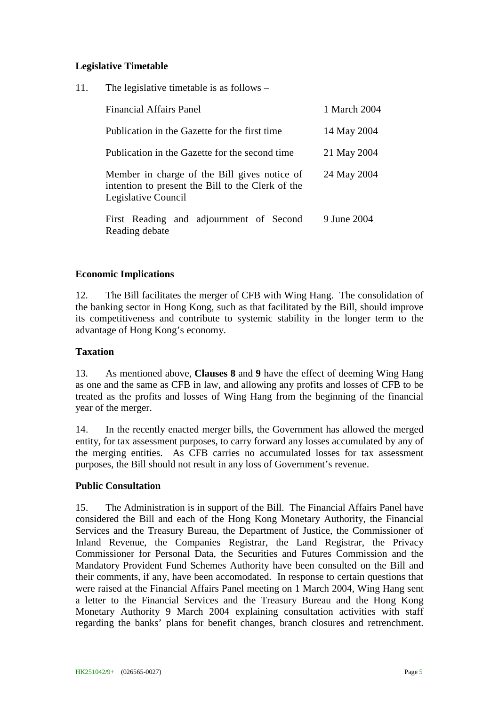## **Legislative Timetable**

11. The legislative timetable is as follows –

| <b>Financial Affairs Panel</b>                                                                                           | 1 March 2004 |
|--------------------------------------------------------------------------------------------------------------------------|--------------|
| Publication in the Gazette for the first time                                                                            | 14 May 2004  |
| Publication in the Gazette for the second time                                                                           | 21 May 2004  |
| Member in charge of the Bill gives notice of<br>intention to present the Bill to the Clerk of the<br>Legislative Council | 24 May 2004  |
| First Reading and adjournment of Second<br>Reading debate                                                                | 9 June 2004  |

### **Economic Implications**

12. The Bill facilitates the merger of CFB with Wing Hang. The consolidation of the banking sector in Hong Kong, such as that facilitated by the Bill, should improve its competitiveness and contribute to systemic stability in the longer term to the advantage of Hong Kong's economy.

### **Taxation**

13. As mentioned above, **Clauses 8** and **9** have the effect of deeming Wing Hang as one and the same as CFB in law, and allowing any profits and losses of CFB to be treated as the profits and losses of Wing Hang from the beginning of the financial year of the merger.

14. In the recently enacted merger bills, the Government has allowed the merged entity, for tax assessment purposes, to carry forward any losses accumulated by any of the merging entities. As CFB carries no accumulated losses for tax assessment purposes, the Bill should not result in any loss of Government's revenue.

### **Public Consultation**

15. The Administration is in support of the Bill. The Financial Affairs Panel have considered the Bill and each of the Hong Kong Monetary Authority, the Financial Services and the Treasury Bureau, the Department of Justice, the Commissioner of Inland Revenue, the Companies Registrar, the Land Registrar, the Privacy Commissioner for Personal Data, the Securities and Futures Commission and the Mandatory Provident Fund Schemes Authority have been consulted on the Bill and their comments, if any, have been accomodated. In response to certain questions that were raised at the Financial Affairs Panel meeting on 1 March 2004, Wing Hang sent a letter to the Financial Services and the Treasury Bureau and the Hong Kong Monetary Authority 9 March 2004 explaining consultation activities with staff regarding the banks' plans for benefit changes, branch closures and retrenchment.